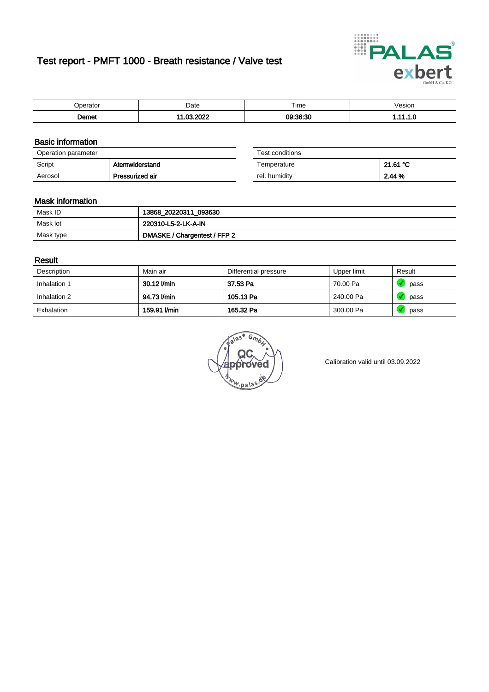# Test report - PMFT 1000 - Breath resistance / Valve test



|                    | Date | $- \cdot$<br>Time         | /esion<br>. |
|--------------------|------|---------------------------|-------------|
| <b>Domot</b><br>шы | ---  | 0.00<br><b>CO.</b><br>. . | .           |

### Basic information

| Operation parameter |                 | Test conditions |          |
|---------------------|-----------------|-----------------|----------|
| Script              | Atemwiderstand  | Temperature     | 21.61 °C |
| Aerosol             | Pressurized air | rel. humidity   | 2.44 %   |

| Test conditions |          |
|-----------------|----------|
| Temperature     | 21.61 °C |
| rel. humidity   | 2.44 %   |

#### Mask information

| Mask ID   | 13868_20220311_093630        |
|-----------|------------------------------|
| Mask lot  | 220310-L5-2-LK-A-IN          |
| Mask type | DMASKE / Chargentest / FFP 2 |

### Result

| Description  | Main air     | Differential pressure | Upper limit | Result |
|--------------|--------------|-----------------------|-------------|--------|
| Inhalation 1 | 30.12 l/min  | 37.53 Pa              | 70.00 Pa    | pass   |
| Inhalation 2 | 94.73 I/min  | 105.13 Pa             | 240.00 Pa   | pass   |
| Exhalation   | 159.91 l/min | 165.32 Pa             | 300.00 Pa   | pass   |

 $u_{\mu,pal}$ 

Calibration valid until 03.09.2022